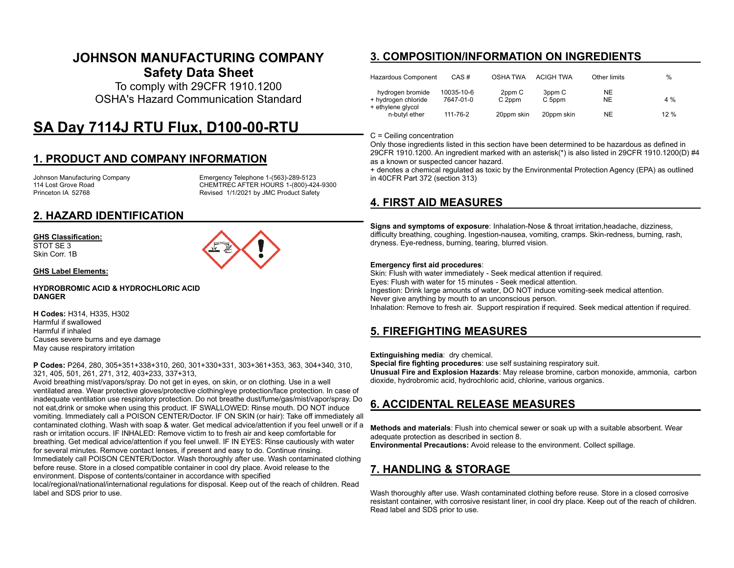# **JOHNSON MANUFACTURING COMPANY Safety Data Sheet**

To comply with 29CFR 1910.1200 OSHA's Hazard Communication Standard

# **SA Day 7114J RTU Flux, D100-00-RTU**

### **1. PRODUCT AND COMPANY INFORMATION**

Johnson Manufacturing Company Emergency Telephone 1-(563)-289-5123 114 Lost Grove Road CHEMTREC AFTER HOURS 1-(800)-424-9300 Revised 1/1/2021 by JMC Product Safety

### **2. HAZARD IDENTIFICATION**

**GHS Classification:** STOT SE 3 Skin Corr. 1B



#### **GHS Label Elements:**

**HYDROBROMIC ACID & HYDROCHLORIC ACID DANGER**

**H Codes:** H314, H335, H302 Harmful if swallowed Harmful if inhaled Causes severe burns and eye damage May cause respiratory irritation

#### **P Codes:** P264, 280, 305+351+338+310, 260, 301+330+331, 303+361+353, 363, 304+340, 310, 321, 405, 501, 261, 271, 312, 403+233, 337+313,

Avoid breathing mist/vapors/spray. Do not get in eyes, on skin, or on clothing. Use in a well ventilated area. Wear protective gloves/protective clothing/eye protection/face protection. In case of inadequate ventilation use respiratory protection. Do not breathe dust/fume/gas/mist/vapor/spray. Do not eat,drink or smoke when using this product. IF SWALLOWED: Rinse mouth. DO NOT induce vomiting. Immediately call a POISON CENTER/Doctor. IF ON SKIN (or hair): Take off immediately all contaminated clothing. Wash with soap & water. Get medical advice/attention if you feel unwell or if a rash or irritation occurs. IF INHALED: Remove victim to to fresh air and keep comfortable for breathing. Get medical advice/attention if you feel unwell. IF IN EYES: Rinse cautiously with water for several minutes. Remove contact lenses, if present and easy to do. Continue rinsing. Immediately call POISON CENTER/Doctor. Wash thoroughly after use. Wash contaminated clothing before reuse. Store in a closed compatible container in cool dry place. Avoid release to the environment. Dispose of contents/container in accordance with specified

local/regional/national/international regulations for disposal. Keep out of the reach of children. Read label and SDS prior to use.

### **3. COMPOSITION/INFORMATION ON INGREDIENTS**

| Hazardous Component                                          | CAS#                    | <b>OSHA TWA</b>  | <b>ACIGH TWA</b> | Other limits | $\%$ |
|--------------------------------------------------------------|-------------------------|------------------|------------------|--------------|------|
| hydrogen bromide<br>+ hydrogen chloride<br>+ ethylene glycol | 10035-10-6<br>7647-01-0 | 2ppm C<br>C 2ppm | 3ppm C<br>C 5ppm | NE<br>NE     | 4%   |
| n-butyl ether                                                | 111-76-2                | 20ppm skin       | 20ppm skin       | NE           | 12%  |

#### C = Ceiling concentration

Only those ingredients listed in this section have been determined to be hazardous as defined in 29CFR 1910.1200. An ingredient marked with an asterisk(\*) is also listed in 29CFR 1910.1200(D) #4 as a known or suspected cancer hazard.

+ denotes a chemical regulated as toxic by the Environmental Protection Agency (EPA) as outlined in 40CFR Part 372 (section 313)

### **4. FIRST AID MEASURES**

**Signs and symptoms of exposure**: Inhalation-Nose & throat irritation,headache, dizziness, difficulty breathing, coughing. Ingestion-nausea, vomiting, cramps. Skin-redness, burning, rash, dryness. Eye-redness, burning, tearing, blurred vision.

#### **Emergency first aid procedures**:

Skin: Flush with water immediately - Seek medical attention if required. Eyes: Flush with water for 15 minutes - Seek medical attention. Ingestion: Drink large amounts of water, DO NOT induce vomiting-seek medical attention. Never give anything by mouth to an unconscious person. Inhalation: Remove to fresh air. Support respiration if required. Seek medical attention if required.

# **5. FIREFIGHTING MEASURES**

**Extinguishing media**: dry chemical.

**Special fire fighting procedures**: use self sustaining respiratory suit. **Unusual Fire and Explosion Hazards**: May release bromine, carbon monoxide, ammonia, carbon dioxide, hydrobromic acid, hydrochloric acid, chlorine, various organics.

# **6. ACCIDENTAL RELEASE MEASURES**

**Methods and materials**: Flush into chemical sewer or soak up with a suitable absorbent. Wear adequate protection as described in section 8.

**Environmental Precautions:** Avoid release to the environment. Collect spillage.

# **7. HANDLING & STORAGE**

Wash thoroughly after use. Wash contaminated clothing before reuse. Store in a closed corrosive resistant container, with corrosive resistant liner, in cool dry place. Keep out of the reach of children. Read label and SDS prior to use.